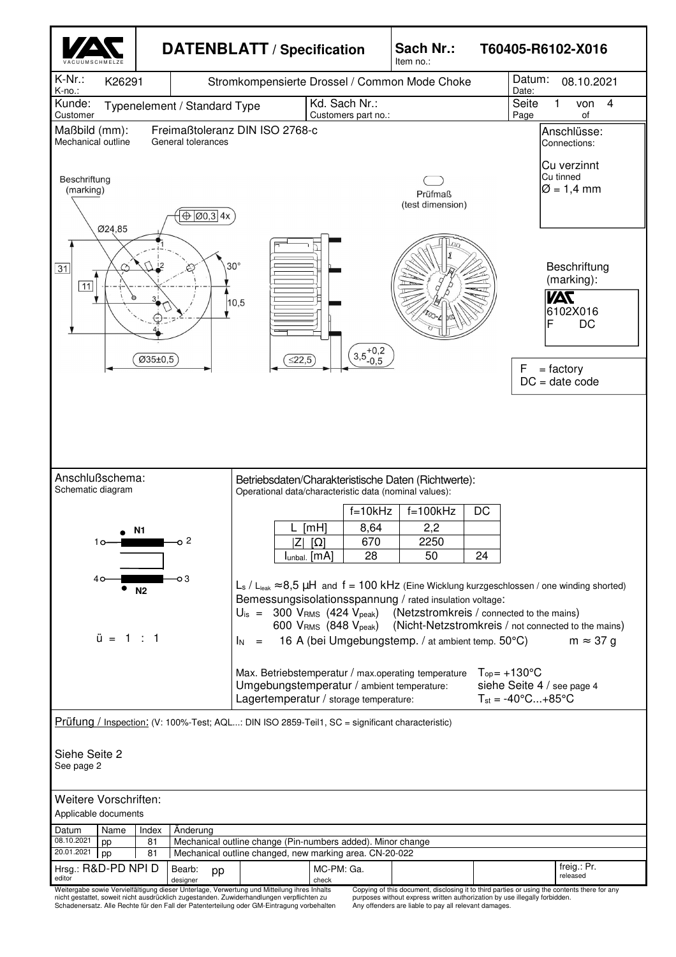

Schadenersatz. Alle Rechte für den Fall der Patenterteilung oder GM-Eintragung vorbehalten

purposes without express written authorization by use illegally forbidden. Any offenders are liable to pay all relevant damages.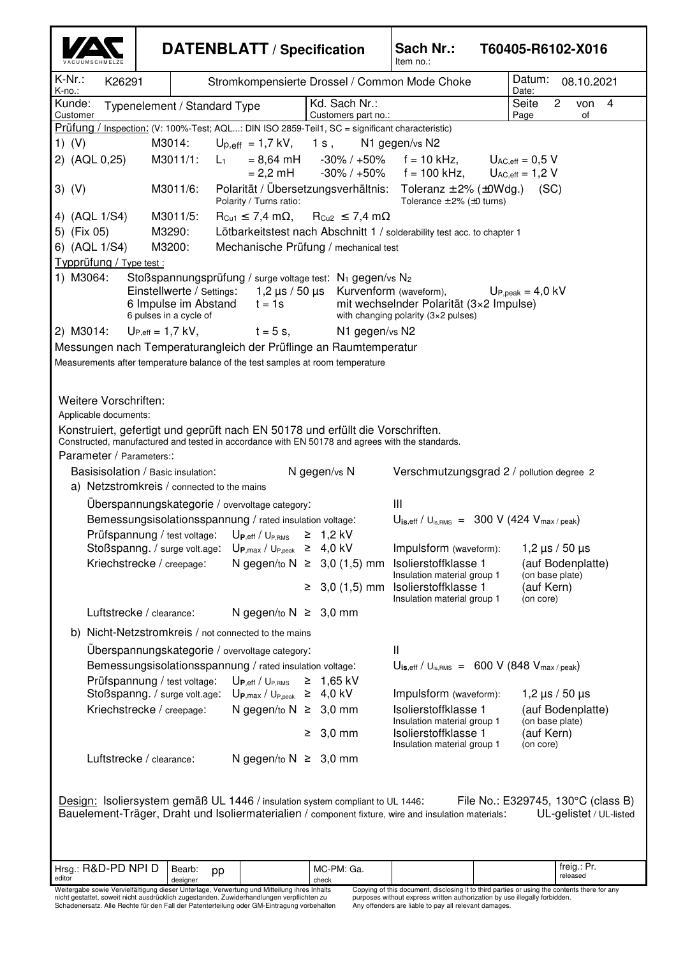|                                       |                                                                                                                                                                                                      | <b>DATENBLATT / Specification</b>                                               |                                                 | Sach Nr.:<br>T60405-R6102-X016<br>Item no.:                                                                                                                                |                                                                |  |  |  |
|---------------------------------------|------------------------------------------------------------------------------------------------------------------------------------------------------------------------------------------------------|---------------------------------------------------------------------------------|-------------------------------------------------|----------------------------------------------------------------------------------------------------------------------------------------------------------------------------|----------------------------------------------------------------|--|--|--|
| $K-Nr$ .:<br>K26291<br>K-no.:         |                                                                                                                                                                                                      |                                                                                 |                                                 | Stromkompensierte Drossel / Common Mode Choke                                                                                                                              | Datum:<br>08.10.2021<br>Date:                                  |  |  |  |
| Kunde:<br>Customer                    | Typenelement / Standard Type                                                                                                                                                                         |                                                                                 | Kd. Sach Nr.:<br>Customers part no.:            |                                                                                                                                                                            | $\overline{2}$<br>Seite<br>von<br>$\overline{4}$<br>Page<br>οf |  |  |  |
|                                       | Prüfung / Inspection: (V: 100%-Test; AQL: DIN ISO 2859-Teil1, SC = significant characteristic)<br>M3014:                                                                                             |                                                                                 |                                                 |                                                                                                                                                                            |                                                                |  |  |  |
| 1) $(V)$<br>2) (AQL 0,25)             | M3011/1:<br>$L_1$                                                                                                                                                                                    | $U_{p,eff}$ = 1,7 kV,<br>$= 8,64 \text{ mH}$                                    | 1s,                                             | N1 gegen/vs N2<br>$-30\%$ / $+50\%$ f = 10 kHz,                                                                                                                            | $U_{AC,eff} = 0.5 V$                                           |  |  |  |
|                                       |                                                                                                                                                                                                      | $= 2,2 \text{ mH}$                                                              | -30% / +50%                                     | $f = 100$ kHz,                                                                                                                                                             | $U_{AC,eff} = 1,2$ V                                           |  |  |  |
| $3)$ (V)                              | Polarität / Übersetzungsverhältnis: Toleranz $\pm$ 2% ( $\pm$ 0Wdg.)<br>M3011/6:<br>(SC)<br>Polarity / Turns ratio:<br>Tolerance $\pm$ 2% ( $\pm$ 0 turns)                                           |                                                                                 |                                                 |                                                                                                                                                                            |                                                                |  |  |  |
| 4) (AQL 1/S4)<br>5) (Fix 05)          | M3011/5:<br>$R_{Cu1} \leq 7,4$ m $\Omega$ ,<br>$R_{Cu2} \leq 7,4$ m $\Omega$<br>Lötbarkeitstest nach Abschnitt 1 / solderability test acc. to chapter 1<br>M3290:                                    |                                                                                 |                                                 |                                                                                                                                                                            |                                                                |  |  |  |
| 6) (AQL 1/S4)                         | M3200:<br>Mechanische Prüfung / mechanical test                                                                                                                                                      |                                                                                 |                                                 |                                                                                                                                                                            |                                                                |  |  |  |
| Typprüfung / Type test :<br>1) M3064: | Stoßspannungsprüfung / surge voltage test: N <sub>1</sub> gegen/vs N <sub>2</sub>                                                                                                                    |                                                                                 |                                                 |                                                                                                                                                                            |                                                                |  |  |  |
|                                       | Einstellwerte / Settings:<br>6 Impulse im Abstand<br>6 pulses in a cycle of                                                                                                                          | $t = 1s$                                                                        | $1,2 \mu s$ / 50 $\mu s$ Kurvenform (waveform), | mit wechselnder Polarität (3×2 Impulse)<br>with changing polarity $(3\times2$ pulses)                                                                                      | $U_{\text{P,peak}} = 4.0 \text{ kV}$                           |  |  |  |
| 2) M3014:                             | $U_{P,eff} = 1.7$ kV,                                                                                                                                                                                | $t = 5$ s,                                                                      | N1 gegen/vs N2                                  |                                                                                                                                                                            |                                                                |  |  |  |
|                                       | Messungen nach Temperaturangleich der Prüflinge an Raumtemperatur                                                                                                                                    |                                                                                 |                                                 |                                                                                                                                                                            |                                                                |  |  |  |
|                                       | Measurements after temperature balance of the test samples at room temperature                                                                                                                       |                                                                                 |                                                 |                                                                                                                                                                            |                                                                |  |  |  |
| Weitere Vorschriften:                 |                                                                                                                                                                                                      |                                                                                 |                                                 |                                                                                                                                                                            |                                                                |  |  |  |
| Applicable documents:                 |                                                                                                                                                                                                      |                                                                                 |                                                 |                                                                                                                                                                            |                                                                |  |  |  |
|                                       | Konstruiert, gefertigt und geprüft nach EN 50178 und erfüllt die Vorschriften.<br>Constructed, manufactured and tested in accordance with EN 50178 and agrees with the standards.                    |                                                                                 |                                                 |                                                                                                                                                                            |                                                                |  |  |  |
| Parameter / Parameters::              |                                                                                                                                                                                                      |                                                                                 |                                                 |                                                                                                                                                                            |                                                                |  |  |  |
|                                       | Basisisolation / Basic insulation:                                                                                                                                                                   |                                                                                 | N gegen/vs N                                    | Verschmutzungsgrad 2 / pollution degree 2                                                                                                                                  |                                                                |  |  |  |
|                                       | a) Netzstromkreis / connected to the mains<br>Uberspannungskategorie / overvoltage category:                                                                                                         |                                                                                 |                                                 | Ш                                                                                                                                                                          |                                                                |  |  |  |
|                                       | Bemessungsisolationsspannung / rated insulation voltage:                                                                                                                                             |                                                                                 |                                                 | $U_{\text{is,eff}}$ / $U_{\text{is,RMS}}$ = 300 V (424 $V_{\text{max/peak}}$ )                                                                                             |                                                                |  |  |  |
|                                       | Prüfspannung / test voltage: UP, eff / UP, RMS                                                                                                                                                       |                                                                                 | $\geq 1,2$ kV                                   |                                                                                                                                                                            |                                                                |  |  |  |
|                                       | Stoßspanng. / surge volt.age:<br>Kriechstrecke / creepage:                                                                                                                                           | $U_{P,max} / U_{P,peak} \geq 4.0$ kV                                            | N gegen/to N ≥ 3,0 (1,5) mm                     | Impulsform (waveform):<br>Isolierstoffklasse 1                                                                                                                             | $1,2 \,\mu s$ / 50 $\mu s$<br>(auf Bodenplatte)                |  |  |  |
|                                       |                                                                                                                                                                                                      |                                                                                 |                                                 | Insulation material group 1<br>$\geq$ 3,0 (1,5) mm Isolierstoffklasse 1<br>Insulation material group 1                                                                     | (on base plate)<br>(auf Kern)<br>(on core)                     |  |  |  |
|                                       | Luftstrecke / clearance:                                                                                                                                                                             | N gegen/to $N \geq 3,0$ mm                                                      |                                                 |                                                                                                                                                                            |                                                                |  |  |  |
|                                       | b) Nicht-Netzstromkreis / not connected to the mains                                                                                                                                                 |                                                                                 |                                                 |                                                                                                                                                                            |                                                                |  |  |  |
|                                       | Überspannungskategorie / overvoltage category:                                                                                                                                                       |                                                                                 | Ш                                               |                                                                                                                                                                            |                                                                |  |  |  |
|                                       | Bemessungsisolationsspannung / rated insulation voltage:                                                                                                                                             |                                                                                 |                                                 | $U_{\text{is,eff}}$ / $U_{\text{is,RMS}} = 600 \text{ V}$ (848 $V_{\text{max/peak}}$ )                                                                                     |                                                                |  |  |  |
|                                       | Prüfspannung / test voltage:<br>Stoßspanng. / surge volt.age: $U_{P,max}$ / $U_{P,peak} \geq 4.0$ kV                                                                                                 | $\mathsf{U}_{\mathsf{P},\mathsf{eff}}$ / $\mathsf{U}_{\mathsf{P},\mathsf{RMS}}$ | $≥ 1,65$ kV                                     | Impulsform (waveform):                                                                                                                                                     | 1,2 $\mu$ s / 50 $\mu$ s                                       |  |  |  |
|                                       | Kriechstrecke / creepage:                                                                                                                                                                            | N gegen/to $N \geq 3,0$ mm                                                      |                                                 | Isolierstoffklasse 1<br>Insulation material group 1                                                                                                                        | (auf Bodenplatte)<br>(on base plate)                           |  |  |  |
|                                       |                                                                                                                                                                                                      |                                                                                 | $\geq 3,0$ mm                                   | Isolierstoffklasse 1<br>Insulation material group 1                                                                                                                        | (auf Kern)<br>(on core)                                        |  |  |  |
|                                       | Luftstrecke / clearance:                                                                                                                                                                             | N gegen/to $N \geq 3,0$ mm                                                      |                                                 |                                                                                                                                                                            |                                                                |  |  |  |
|                                       | Design: Isoliersystem gemäß UL 1446 / insulation system compliant to UL 1446:                                                                                                                        |                                                                                 |                                                 | Bauelement-Träger, Draht und Isoliermaterialien / component fixture, wire and insulation materials:                                                                        | File No.: E329745, 130°C (class B)<br>UL-gelistet / UL-listed  |  |  |  |
| Hrsg.: R&D-PD NPI D<br>editor         | Bearb:<br>pp                                                                                                                                                                                         |                                                                                 | MC-PM: Ga.                                      |                                                                                                                                                                            | freig.: Pr.<br>released                                        |  |  |  |
|                                       | designer<br>Weitergabe sowie Vervielfältigung dieser Unterlage, Verwertung und Mitteilung ihres Inhalts<br>nicht gestattet, soweit nicht ausdrücklich zugestanden. Zuwiderhandlungen verpflichten zu |                                                                                 | check                                           | Copying of this document, disclosing it to third parties or using the contents there for any<br>purposes without express written authorization by use illegally forbidden. |                                                                |  |  |  |
|                                       | Schadenersatz. Alle Rechte für den Fall der Patenterteilung oder GM-Eintragung vorbehalten                                                                                                           |                                                                                 |                                                 | Any offenders are liable to pay all relevant damages.                                                                                                                      |                                                                |  |  |  |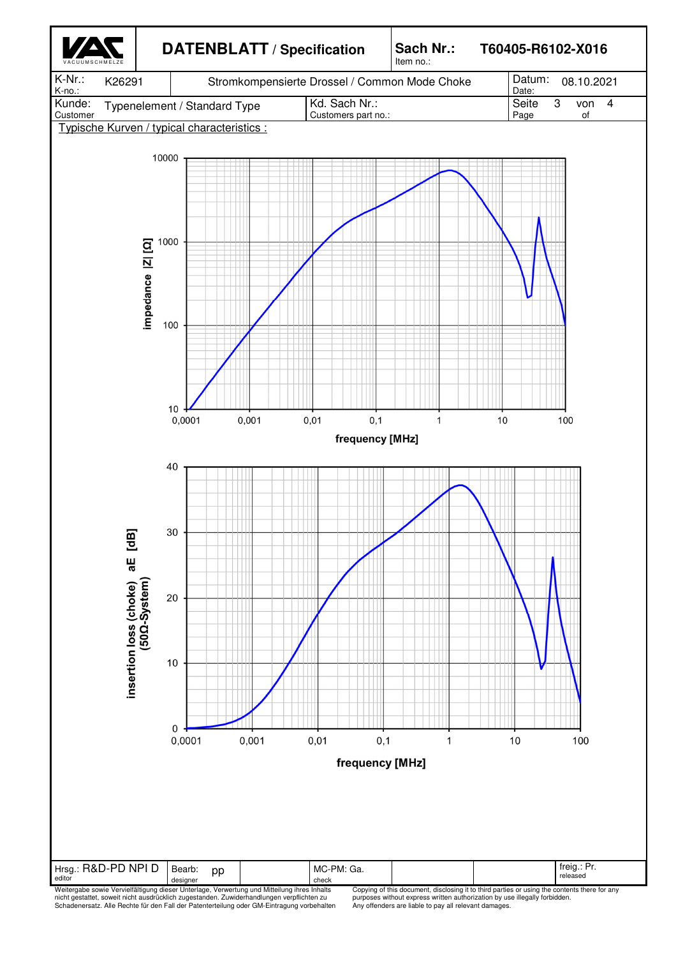

Weitergabe sowie Vervielfältigung dieser Unterlage, Verwertung und Mitteilung ihres Inhalts<br>nicht gestattet, soweit nicht ausdrücklich zugestanden. Zuwiderhandlungen verpflichten zu<br>Schadenersatz. Alle Rechte für den Fall

Any offenders are liable to pay all relevant damages.